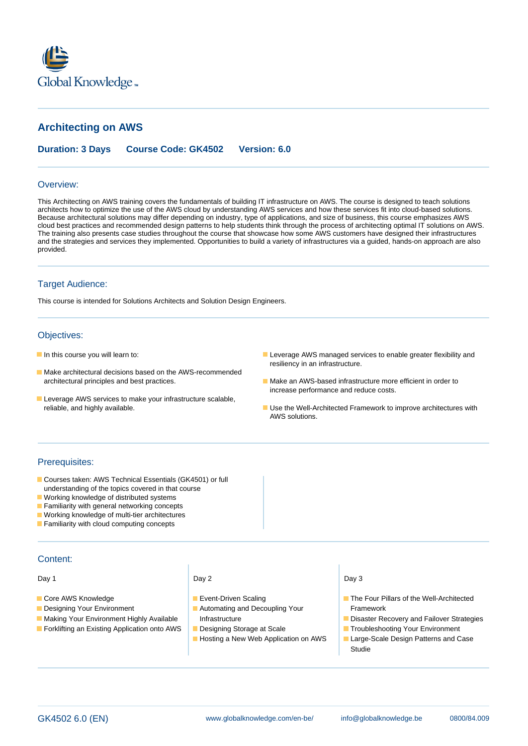

# **Architecting on AWS**

**Duration: 3 Days Course Code: GK4502 Version: 6.0**

#### Overview:

This Architecting on AWS training covers the fundamentals of building IT infrastructure on AWS. The course is designed to teach solutions architects how to optimize the use of the AWS cloud by understanding AWS services and how these services fit into cloud-based solutions. Because architectural solutions may differ depending on industry, type of applications, and size of business, this course emphasizes AWS cloud best practices and recommended design patterns to help students think through the process of architecting optimal IT solutions on AWS. The training also presents case studies throughout the course that showcase how some AWS customers have designed their infrastructures and the strategies and services they implemented. Opportunities to build a variety of infrastructures via a guided, hands-on approach are also provided.

### Target Audience:

This course is intended for Solutions Architects and Solution Design Engineers.

## Objectives:

- 
- Make architectural decisions based on the AWS-recommended architectural principles and best practices. Make an AWS-based infrastructure more efficient in order to
- **Leverage AWS services to make your infrastructure scalable,**
- In this course you will learn to: Less extra extra nable greater flexibility and  $\blacksquare$  Leverage AWS managed services to enable greater flexibility and resiliency in an infrastructure.
	- increase performance and reduce costs.
	- reliable, and highly available. Use the Well-Architected Framework to improve architectures with AWS solutions.

### Prerequisites:

- Courses taken: AWS Technical Essentials (GK4501) or full understanding of the topics covered in that course
- **Working knowledge of distributed systems**
- **Familiarity with general networking concepts**
- **Working knowledge of multi-tier architectures**
- **Familiarity with cloud computing concepts**

### Content:

Day 1 Day 2 Day 2 Day 3 Day 3 Day 3

- 
- 
- 
- **Forklifting an Existing Application onto AWS Designing Storage at Scale Troubleshooting Your Environment**

line line line

- 
- **Designing Your Environment** Automating and Decoupling Your Framework
	-
	- Hosting a New Web Application on AWS | Large-Scale Design Patterns and Case

- Core AWS Knowledge 
Event-Driven Scaling 
The Four Pillars of the Well-Architected
- **Making Your Environment Highly Available Infrastructure Community Community Community Community Community Community Community Community Community Community Community Community Community Community Community Community Commu** 
	-
	- **Studie**